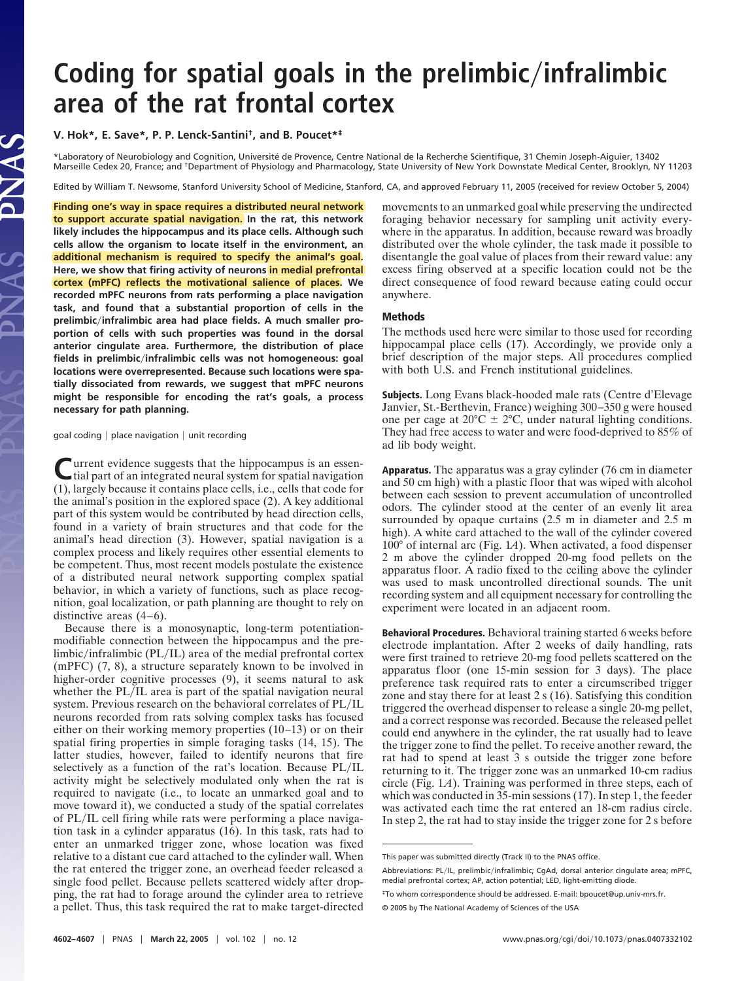## **Coding for spatial goals in the prelimbicinfralimbic area of the rat frontal cortex**

**V. Hok\*, E. Save\*, P. P. Lenck-Santini† , and B. Poucet\*‡**

\*Laboratory of Neurobiology and Cognition, Universite´ de Provence, Centre National de la Recherche Scientifique, 31 Chemin Joseph-Aiguier, 13402 Marseille Cedex 20, France; and †Department of Physiology and Pharmacology, State University of New York Downstate Medical Center, Brooklyn, NY 11203

Edited by William T. Newsome, Stanford University School of Medicine, Stanford, CA, and approved February 11, 2005 (received for review October 5, 2004)

**Finding one's way in space requires a distributed neural network to support accurate spatial navigation. In the rat, this network likely includes the hippocampus and its place cells. Although such cells allow the organism to locate itself in the environment, an additional mechanism is required to specify the animal's goal. Here, we show that firing activity of neurons in medial prefrontal cortex (mPFC) reflects the motivational salience of places. We recorded mPFC neurons from rats performing a place navigation task, and found that a substantial proportion of cells in the prelimbicinfralimbic area had place fields. A much smaller proportion of cells with such properties was found in the dorsal anterior cingulate area. Furthermore, the distribution of place fields in prelimbicinfralimbic cells was not homogeneous: goal locations were overrepresented. Because such locations were spatially dissociated from rewards, we suggest that mPFC neurons might be responsible for encoding the rat's goals, a process necessary for path planning.**

goal coding  $|$  place navigation  $|$  unit recording

**C** urrent evidence suggests that the hippocampus is an essen-<br>tial part of an integrated neural system for spatial navigation tial part of an integrated neural system for spatial navigation (1), largely because it contains place cells, i.e., cells that code for the animal's position in the explored space (2). A key additional part of this system would be contributed by head direction cells, found in a variety of brain structures and that code for the animal's head direction (3). However, spatial navigation is a complex process and likely requires other essential elements to be competent. Thus, most recent models postulate the existence of a distributed neural network supporting complex spatial behavior, in which a variety of functions, such as place recognition, goal localization, or path planning are thought to rely on distinctive areas (4–6).

Because there is a monosynaptic, long-term potentiationmodifiable connection between the hippocampus and the prelimbic/infralimbic ( $PL/IL$ ) area of the medial prefrontal cortex (mPFC) (7, 8), a structure separately known to be involved in higher-order cognitive processes (9), it seems natural to ask whether the PL/IL area is part of the spatial navigation neural system. Previous research on the behavioral correlates of PL/IL neurons recorded from rats solving complex tasks has focused either on their working memory properties (10–13) or on their spatial firing properties in simple foraging tasks (14, 15). The latter studies, however, failed to identify neurons that fire selectively as a function of the rat's location. Because PL/IL activity might be selectively modulated only when the rat is required to navigate (i.e., to locate an unmarked goal and to move toward it), we conducted a study of the spatial correlates of PL/IL cell firing while rats were performing a place navigation task in a cylinder apparatus (16). In this task, rats had to enter an unmarked trigger zone, whose location was fixed relative to a distant cue card attached to the cylinder wall. When the rat entered the trigger zone, an overhead feeder released a single food pellet. Because pellets scattered widely after dropping, the rat had to forage around the cylinder area to retrieve a pellet. Thus, this task required the rat to make target-directed movements to an unmarked goal while preserving the undirected foraging behavior necessary for sampling unit activity everywhere in the apparatus. In addition, because reward was broadly distributed over the whole cylinder, the task made it possible to disentangle the goal value of places from their reward value: any excess firing observed at a specific location could not be the direct consequence of food reward because eating could occur anywhere.

## Methods

The methods used here were similar to those used for recording hippocampal place cells (17). Accordingly, we provide only a brief description of the major steps. All procedures complied with both U.S. and French institutional guidelines.

Subjects. Long Evans black-hooded male rats (Centre d'Elevage Janvier, St.-Berthevin, France) weighing 300–350 g were housed one per cage at  $20^{\circ}$ C  $\pm$  2°C, under natural lighting conditions. They had free access to water and were food-deprived to 85% of ad lib body weight.

Apparatus. The apparatus was a gray cylinder (76 cm in diameter and 50 cm high) with a plastic floor that was wiped with alcohol between each session to prevent accumulation of uncontrolled odors. The cylinder stood at the center of an evenly lit area surrounded by opaque curtains (2.5 m in diameter and 2.5 m high). A white card attached to the wall of the cylinder covered 100° of internal arc (Fig. 1*A*). When activated, a food dispenser 2 m above the cylinder dropped 20-mg food pellets on the apparatus floor. A radio fixed to the ceiling above the cylinder was used to mask uncontrolled directional sounds. The unit recording system and all equipment necessary for controlling the experiment were located in an adjacent room.

Behavioral Procedures. Behavioral training started 6 weeks before electrode implantation. After 2 weeks of daily handling, rats were first trained to retrieve 20-mg food pellets scattered on the apparatus floor (one 15-min session for 3 days). The place preference task required rats to enter a circumscribed trigger zone and stay there for at least 2 s (16). Satisfying this condition triggered the overhead dispenser to release a single 20-mg pellet, and a correct response was recorded. Because the released pellet could end anywhere in the cylinder, the rat usually had to leave the trigger zone to find the pellet. To receive another reward, the rat had to spend at least 3 s outside the trigger zone before returning to it. The trigger zone was an unmarked 10-cm radius circle (Fig. 1*A*). Training was performed in three steps, each of which was conducted in 35-min sessions (17). In step 1, the feeder was activated each time the rat entered an 18-cm radius circle. In step 2, the rat had to stay inside the trigger zone for 2 s before

This paper was submitted directly (Track II) to the PNAS office.

Abbreviations: PL/IL, prelimbic/infralimbic; CqAd, dorsal anterior cingulate area; mPFC, medial prefrontal cortex; AP, action potential; LED, light-emitting diode.

<sup>‡</sup>To whom correspondence should be addressed. E-mail: bpoucet@up.univ-mrs.fr.

<sup>© 2005</sup> by The National Academy of Sciences of the USA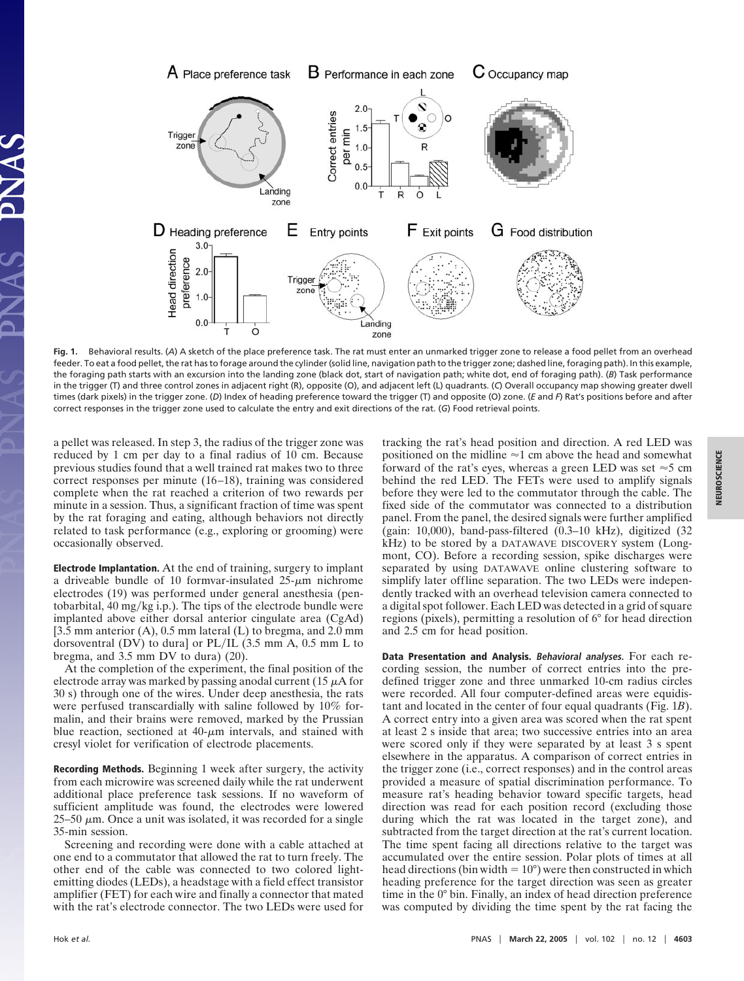

**Fig. 1.** Behavioral results. (*A*) A sketch of the place preference task. The rat must enter an unmarked trigger zone to release a food pellet from an overhead feeder. To eat a food pellet, the rat has to forage around the cylinder (solid line, navigation path to the trigger zone; dashed line, foraging path). In this example, the foraging path starts with an excursion into the landing zone (black dot, start of navigation path; white dot, end of foraging path). (*B*) Task performance in the trigger (T) and three control zones in adjacent right (R), opposite (O), and adjacent left (L) quadrants. (*C*) Overall occupancy map showing greater dwell times (dark pixels) in the trigger zone. (*D*) Index of heading preference toward the trigger (T) and opposite (O) zone. (*E* and *F*) Rat's positions before and after correct responses in the trigger zone used to calculate the entry and exit directions of the rat. (*G*) Food retrieval points.

a pellet was released. In step 3, the radius of the trigger zone was reduced by 1 cm per day to a final radius of 10 cm. Because previous studies found that a well trained rat makes two to three correct responses per minute (16–18), training was considered complete when the rat reached a criterion of two rewards per minute in a session. Thus, a significant fraction of time was spent by the rat foraging and eating, although behaviors not directly related to task performance (e.g., exploring or grooming) were occasionally observed.

Electrode Implantation. At the end of training, surgery to implant a driveable bundle of 10 formvar-insulated  $25-\mu m$  nichrome electrodes (19) was performed under general anesthesia (pentobarbital,  $40 \text{ mg/kg}$  i.p.). The tips of the electrode bundle were implanted above either dorsal anterior cingulate area (CgAd)  $[3.5 \text{ mm}$  anterior (A), 0.5 mm lateral (L) to bregma, and 2.0 mm dorsoventral (DV) to dura] or  $PL/IL$  (3.5 mm A, 0.5 mm L to bregma, and 3.5 mm DV to dura) (20).

At the completion of the experiment, the final position of the electrode array was marked by passing anodal current (15  $\mu$ A for 30 s) through one of the wires. Under deep anesthesia, the rats were perfused transcardially with saline followed by 10% formalin, and their brains were removed, marked by the Prussian blue reaction, sectioned at  $40-\mu m$  intervals, and stained with cresyl violet for verification of electrode placements.

Recording Methods. Beginning 1 week after surgery, the activity from each microwire was screened daily while the rat underwent additional place preference task sessions. If no waveform of sufficient amplitude was found, the electrodes were lowered  $25-50 \mu$ m. Once a unit was isolated, it was recorded for a single 35-min session.

Screening and recording were done with a cable attached at one end to a commutator that allowed the rat to turn freely. The other end of the cable was connected to two colored lightemitting diodes (LEDs), a headstage with a field effect transistor amplifier (FET) for each wire and finally a connector that mated with the rat's electrode connector. The two LEDs were used for

tracking the rat's head position and direction. A red LED was positioned on the midline  $\approx$ 1 cm above the head and somewhat forward of the rat's eyes, whereas a green LED was set  $\approx$  5 cm behind the red LED. The FETs were used to amplify signals before they were led to the commutator through the cable. The fixed side of the commutator was connected to a distribution panel. From the panel, the desired signals were further amplified (gain: 10,000), band-pass-filtered  $(0.3-10 \text{ kHz})$ , digitized  $(32 \text{ rad})$ kHz) to be stored by a DATAWAVE DISCOVERY system (Longmont, CO). Before a recording session, spike discharges were separated by using DATAWAVE online clustering software to simplify later offline separation. The two LEDs were independently tracked with an overhead television camera connected to a digital spot follower. Each LED was detected in a grid of square regions (pixels), permitting a resolution of 6° for head direction and 2.5 cm for head position.

Data Presentation and Analysis. **Behavioral analyses.** For each recording session, the number of correct entries into the predefined trigger zone and three unmarked 10-cm radius circles were recorded. All four computer-defined areas were equidistant and located in the center of four equal quadrants (Fig. 1*B*). A correct entry into a given area was scored when the rat spent at least 2 s inside that area; two successive entries into an area were scored only if they were separated by at least 3 s spent elsewhere in the apparatus. A comparison of correct entries in the trigger zone (i.e., correct responses) and in the control areas provided a measure of spatial discrimination performance. To measure rat's heading behavior toward specific targets, head direction was read for each position record (excluding those during which the rat was located in the target zone), and subtracted from the target direction at the rat's current location. The time spent facing all directions relative to the target was accumulated over the entire session. Polar plots of times at all head directions (bin width  $= 10^{\circ}$ ) were then constructed in which heading preference for the target direction was seen as greater time in the 0° bin. Finally, an index of head direction preference was computed by dividing the time spent by the rat facing the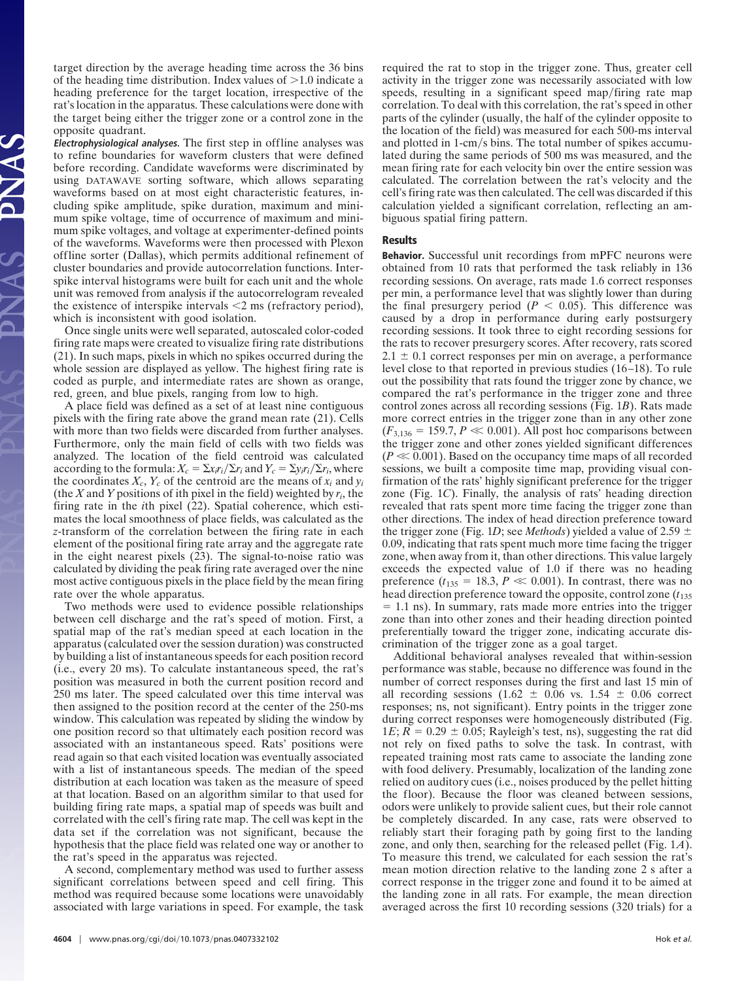target direction by the average heading time across the 36 bins of the heading time distribution. Index values of  $>1.0$  indicate a heading preference for the target location, irrespective of the rat's location in the apparatus. These calculations were done with the target being either the trigger zone or a control zone in the opposite quadrant.

**Electrophysiological analyses.** The first step in offline analyses was to refine boundaries for waveform clusters that were defined before recording. Candidate waveforms were discriminated by using DATAWAVE sorting software, which allows separating waveforms based on at most eight characteristic features, including spike amplitude, spike duration, maximum and minimum spike voltage, time of occurrence of maximum and minimum spike voltages, and voltage at experimenter-defined points of the waveforms. Waveforms were then processed with Plexon offline sorter (Dallas), which permits additional refinement of cluster boundaries and provide autocorrelation functions. Interspike interval histograms were built for each unit and the whole unit was removed from analysis if the autocorrelogram revealed the existence of interspike intervals  $\leq 2$  ms (refractory period), which is inconsistent with good isolation.

Once single units were well separated, autoscaled color-coded firing rate maps were created to visualize firing rate distributions (21). In such maps, pixels in which no spikes occurred during the whole session are displayed as yellow. The highest firing rate is coded as purple, and intermediate rates are shown as orange, red, green, and blue pixels, ranging from low to high.

A place field was defined as a set of at least nine contiguous pixels with the firing rate above the grand mean rate (21). Cells with more than two fields were discarded from further analyses. Furthermore, only the main field of cells with two fields was analyzed. The location of the field centroid was calculated according to the formula:  $X_c = \sum x_i r_i / \sum r_i$  and  $Y_c = \sum y_i r_i / \sum r_i$ , where the coordinates  $X_c$ ,  $Y_c$  of the centroid are the means of  $x_i$  and  $y_i$ (the *X* and *Y* positions of ith pixel in the field) weighted by  $r_i$ , the firing rate in the *i*th pixel (22). Spatial coherence, which estimates the local smoothness of place fields, was calculated as the *z*-transform of the correlation between the firing rate in each element of the positional firing rate array and the aggregate rate in the eight nearest pixels (23). The signal-to-noise ratio was calculated by dividing the peak firing rate averaged over the nine most active contiguous pixels in the place field by the mean firing rate over the whole apparatus.

Two methods were used to evidence possible relationships between cell discharge and the rat's speed of motion. First, a spatial map of the rat's median speed at each location in the apparatus (calculated over the session duration) was constructed by building a list of instantaneous speeds for each position record (i.e., every 20 ms). To calculate instantaneous speed, the rat's position was measured in both the current position record and 250 ms later. The speed calculated over this time interval was then assigned to the position record at the center of the 250-ms window. This calculation was repeated by sliding the window by one position record so that ultimately each position record was associated with an instantaneous speed. Rats' positions were read again so that each visited location was eventually associated with a list of instantaneous speeds. The median of the speed distribution at each location was taken as the measure of speed at that location. Based on an algorithm similar to that used for building firing rate maps, a spatial map of speeds was built and correlated with the cell's firing rate map. The cell was kept in the data set if the correlation was not significant, because the hypothesis that the place field was related one way or another to the rat's speed in the apparatus was rejected.

A second, complementary method was used to further assess significant correlations between speed and cell firing. This method was required because some locations were unavoidably associated with large variations in speed. For example, the task required the rat to stop in the trigger zone. Thus, greater cell activity in the trigger zone was necessarily associated with low speeds, resulting in a significant speed map/firing rate map correlation. To deal with this correlation, the rat's speed in other parts of the cylinder (usually, the half of the cylinder opposite to the location of the field) was measured for each 500-ms interval and plotted in  $1$ -cm/s bins. The total number of spikes accumulated during the same periods of 500 ms was measured, and the mean firing rate for each velocity bin over the entire session was calculated. The correlation between the rat's velocity and the cell's firing rate was then calculated. The cell was discarded if this calculation yielded a significant correlation, reflecting an ambiguous spatial firing pattern.

## Results

Behavior. Successful unit recordings from mPFC neurons were obtained from 10 rats that performed the task reliably in 136 recording sessions. On average, rats made 1.6 correct responses per min, a performance level that was slightly lower than during the final presurgery period  $(P < 0.05)$ . This difference was caused by a drop in performance during early postsurgery recording sessions. It took three to eight recording sessions for the rats to recover presurgery scores. After recovery, rats scored  $2.1 \pm 0.1$  correct responses per min on average, a performance level close to that reported in previous studies (16–18). To rule out the possibility that rats found the trigger zone by chance, we compared the rat's performance in the trigger zone and three control zones across all recording sessions (Fig. 1*B*). Rats made more correct entries in the trigger zone than in any other zone  $(F_{3,136} = 159.7, P \ll 0.001)$ . All post hoc comparisons between the trigger zone and other zones yielded significant differences  $(P \ll 0.001)$ . Based on the occupancy time maps of all recorded sessions, we built a composite time map, providing visual confirmation of the rats' highly significant preference for the trigger zone (Fig. 1*C*). Finally, the analysis of rats' heading direction revealed that rats spent more time facing the trigger zone than other directions. The index of head direction preference toward the trigger zone (Fig. 1*D*; see *Methods*) yielded a value of 2.59  $\pm$ 0.09, indicating that rats spent much more time facing the trigger zone, when away from it, than other directions. This value largely exceeds the expected value of 1.0 if there was no heading preference  $(t_{135} = 18.3, P \ll 0.001)$ . In contrast, there was no head direction preference toward the opposite, control zone ( $t_{135}$ )  $= 1.1$  ns). In summary, rats made more entries into the trigger zone than into other zones and their heading direction pointed preferentially toward the trigger zone, indicating accurate discrimination of the trigger zone as a goal target.

Additional behavioral analyses revealed that within-session performance was stable, because no difference was found in the number of correct responses during the first and last 15 min of all recording sessions  $(1.62 \pm 0.06 \text{ vs. } 1.54 \pm 0.06 \text{ correct})$ responses; ns, not significant). Entry points in the trigger zone during correct responses were homogeneously distributed (Fig.  $1E$ ;  $R = 0.29 \pm 0.05$ ; Rayleigh's test, ns), suggesting the rat did not rely on fixed paths to solve the task. In contrast, with repeated training most rats came to associate the landing zone with food delivery. Presumably, localization of the landing zone relied on auditory cues (i.e., noises produced by the pellet hitting the floor). Because the floor was cleaned between sessions, odors were unlikely to provide salient cues, but their role cannot be completely discarded. In any case, rats were observed to reliably start their foraging path by going first to the landing zone, and only then, searching for the released pellet (Fig. 1*A*). To measure this trend, we calculated for each session the rat's mean motion direction relative to the landing zone 2 s after a correct response in the trigger zone and found it to be aimed at the landing zone in all rats. For example, the mean direction averaged across the first 10 recording sessions (320 trials) for a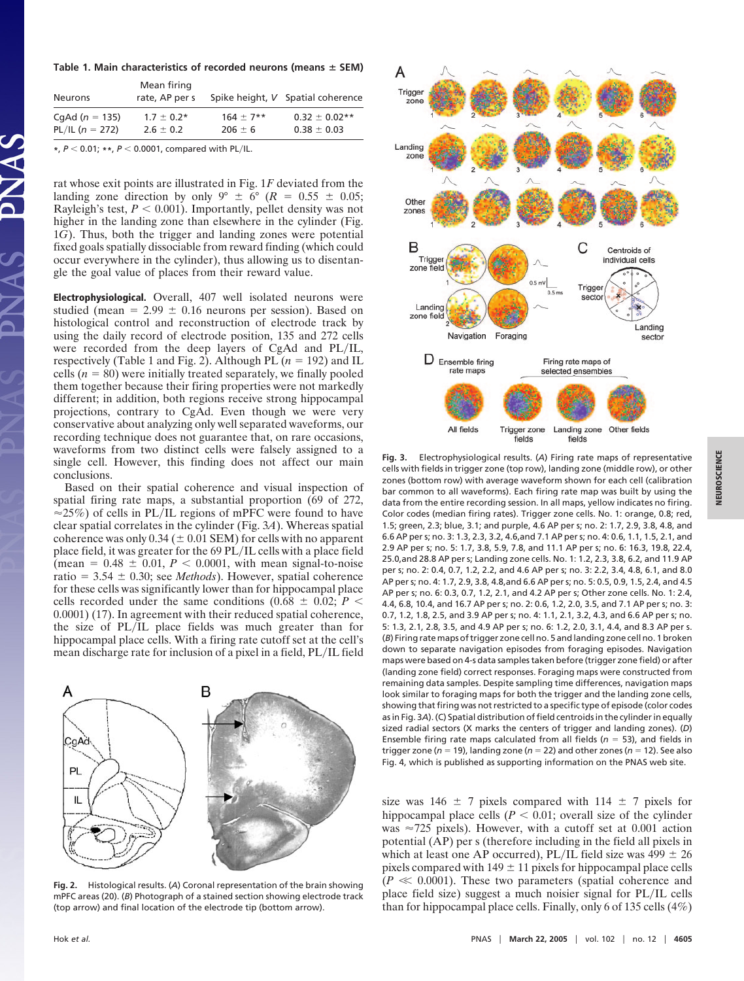**Table 1. Main characteristics of recorded neurons (means SEM)**

| <b>Neurons</b>      | Mean firing<br>rate, AP per s |               | Spike height, V Spatial coherence |
|---------------------|-------------------------------|---------------|-----------------------------------|
| CqAd $(n = 135)$    | $1.7 \pm 0.2*$                | $164 \pm 7**$ | $0.32 \pm 0.02**$                 |
| PL/IL ( $n = 272$ ) | $2.6 \pm 0.2$                 | $206 \pm 6$   | $0.38 \pm 0.03$                   |

**\***, *P* 0.01; **\*\***, *P* 0.0001, compared with PLIL.

rat whose exit points are illustrated in Fig. 1*F* deviated from the landing zone direction by only  $9^{\circ} \pm 6^{\circ}$  ( $R = 0.55 \pm 0.05$ ; Rayleigh's test,  $P < 0.001$ ). Importantly, pellet density was not higher in the landing zone than elsewhere in the cylinder (Fig. 1*G*). Thus, both the trigger and landing zones were potential fixed goals spatially dissociable from reward finding (which could occur everywhere in the cylinder), thus allowing us to disentangle the goal value of places from their reward value.

Electrophysiological. Overall, 407 well isolated neurons were studied (mean  $= 2.99 \pm 0.16$  neurons per session). Based on histological control and reconstruction of electrode track by using the daily record of electrode position, 135 and 272 cells were recorded from the deep layers of  $CgAd$  and  $PL/IL$ , respectively (Table 1 and Fig. 2). Although PL  $(n = 192)$  and IL cells  $(n = 80)$  were initially treated separately, we finally pooled them together because their firing properties were not markedly different; in addition, both regions receive strong hippocampal projections, contrary to CgAd. Even though we were very conservative about analyzing only well separated waveforms, our recording technique does not guarantee that, on rare occasions, waveforms from two distinct cells were falsely assigned to a single cell. However, this finding does not affect our main conclusions.

Based on their spatial coherence and visual inspection of spatial firing rate maps, a substantial proportion (69 of 272,  $\approx$  25%) of cells in PL/IL regions of mPFC were found to have clear spatial correlates in the cylinder (Fig. 3*A*). Whereas spatial coherence was only  $0.34 (\pm 0.01$  SEM) for cells with no apparent place field, it was greater for the 69 PL/IL cells with a place field (mean =  $0.48 \pm 0.01$ ,  $P < 0.0001$ , with mean signal-to-noise ratio =  $3.54 \pm 0.30$ ; see *Methods*). However, spatial coherence for these cells was significantly lower than for hippocampal place cells recorded under the same conditions  $(0.68 \pm 0.02; P \le$ 0.0001) (17). In agreement with their reduced spatial coherence, the size of PL/IL place fields was much greater than for hippocampal place cells. With a firing rate cutoff set at the cell's mean discharge rate for inclusion of a pixel in a field, PL/IL field



**Fig. 2.** Histological results. (*A*) Coronal representation of the brain showing mPFC areas (20). (*B*) Photograph of a stained section showing electrode track (top arrow) and final location of the electrode tip (bottom arrow).



**Fig. 3.** Electrophysiological results. (*A*) Firing rate maps of representative cells with fields in trigger zone (top row), landing zone (middle row), or other zones (bottom row) with average waveform shown for each cell (calibration bar common to all waveforms). Each firing rate map was built by using the data from the entire recording session. In all maps, yellow indicates no firing. Color codes (median firing rates). Trigger zone cells. No. 1: orange, 0.8; red, 1.5; green, 2.3; blue, 3.1; and purple, 4.6 AP per s; no. 2: 1.7, 2.9, 3.8, 4.8, and 6.6 AP per s; no. 3: 1.3, 2.3, 3.2, 4.6,and 7.1 AP per s; no. 4: 0.6, 1.1, 1.5, 2.1, and 2.9 AP per s; no. 5: 1.7, 3.8, 5.9, 7.8, and 11.1 AP per s; no. 6: 16.3, 19.8, 22.4, 25.0,and 28.8 AP per s; Landing zone cells. No. 1: 1.2, 2.3, 3.8, 6.2, and 11.9 AP per s; no. 2: 0.4, 0.7, 1.2, 2.2, and 4.6 AP per s; no. 3: 2.2, 3.4, 4.8, 6.1, and 8.0 AP per s; no. 4: 1.7, 2.9, 3.8, 4.8,and 6.6 AP per s; no. 5: 0.5, 0.9, 1.5, 2.4, and 4.5 AP per s; no. 6: 0.3, 0.7, 1.2, 2.1, and 4.2 AP per s; Other zone cells. No. 1: 2.4, 4.4, 6.8, 10.4, and 16.7 AP per s; no. 2: 0.6, 1.2, 2.0, 3.5, and 7.1 AP per s; no. 3: 0.7, 1.2, 1.8, 2.5, and 3.9 AP per s; no. 4: 1.1, 2.1, 3.2, 4.3, and 6.6 AP per s; no. 5: 1.3, 2.1, 2.8, 3.5, and 4.9 AP per s; no. 6: 1.2, 2.0, 3.1, 4.4, and 8.3 AP per s. (*B*) Firing rate maps of trigger zone cell no. 5 and landing zone cell no. 1 broken down to separate navigation episodes from foraging episodes. Navigation maps were based on 4-s data samples taken before (trigger zone field) or after (landing zone field) correct responses. Foraging maps were constructed from remaining data samples. Despite sampling time differences, navigation maps look similar to foraging maps for both the trigger and the landing zone cells, showing that firing was not restricted to a specific type of episode (color codes as in Fig. 3*A*). (C) Spatial distribution of field centroids in the cylinder in equally sized radial sectors (X marks the centers of trigger and landing zones). (*D*) Ensemble firing rate maps calculated from all fields  $(n = 53)$ , and fields in trigger zone ( $n = 19$ ), landing zone ( $n = 22$ ) and other zones ( $n = 12$ ). See also Fig. 4, which is published as supporting information on the PNAS web site.

size was 146  $\pm$  7 pixels compared with 114  $\pm$  7 pixels for hippocampal place cells  $(P < 0.01$ ; overall size of the cylinder was  $\approx$ 725 pixels). However, with a cutoff set at 0.001 action potential (AP) per s (therefore including in the field all pixels in which at least one AP occurred), PL/IL field size was  $499 \pm 26$ pixels compared with  $149 \pm 11$  pixels for hippocampal place cells  $(P \ll 0.0001)$ . These two parameters (spatial coherence and place field size) suggest a much noisier signal for PL/IL cells than for hippocampal place cells. Finally, only 6 of 135 cells (4%)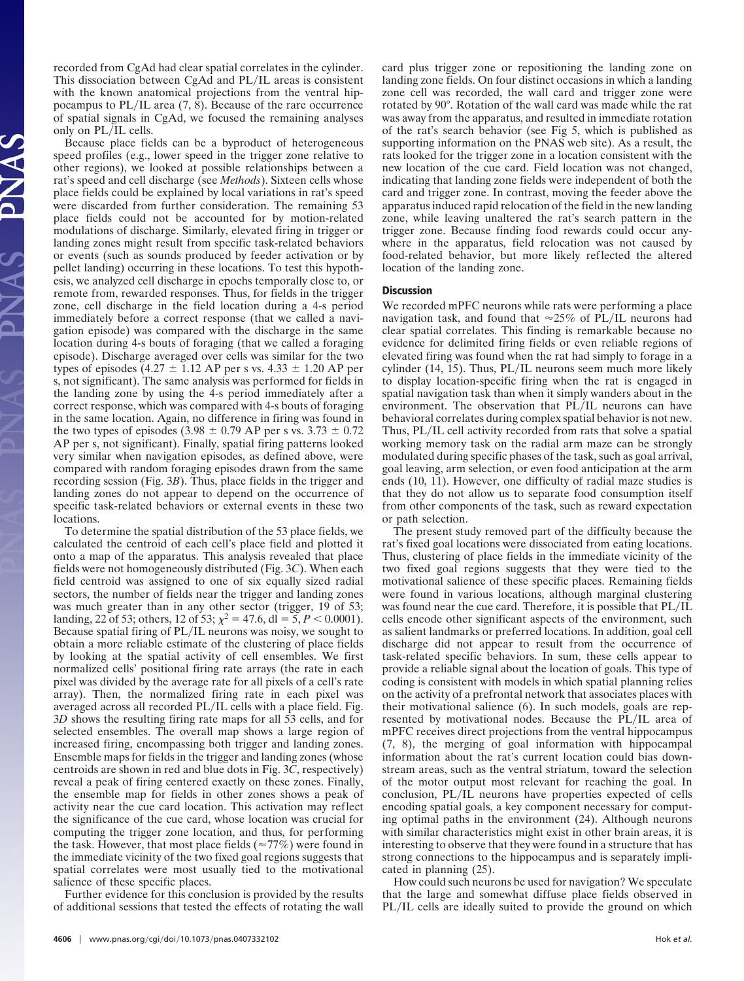recorded from CgAd had clear spatial correlates in the cylinder. This dissociation between CgAd and PL/IL areas is consistent with the known anatomical projections from the ventral hippocampus to  $PL/IL$  area  $(7, 8)$ . Because of the rare occurrence of spatial signals in CgAd, we focused the remaining analyses only on PL/IL cells.

Because place fields can be a byproduct of heterogeneous speed profiles (e.g., lower speed in the trigger zone relative to other regions), we looked at possible relationships between a rat's speed and cell discharge (see *Methods*). Sixteen cells whose place fields could be explained by local variations in rat's speed were discarded from further consideration. The remaining 53 place fields could not be accounted for by motion-related modulations of discharge. Similarly, elevated firing in trigger or landing zones might result from specific task-related behaviors or events (such as sounds produced by feeder activation or by pellet landing) occurring in these locations. To test this hypothesis, we analyzed cell discharge in epochs temporally close to, or remote from, rewarded responses. Thus, for fields in the trigger zone, cell discharge in the field location during a 4-s period immediately before a correct response (that we called a navigation episode) was compared with the discharge in the same location during 4-s bouts of foraging (that we called a foraging episode). Discharge averaged over cells was similar for the two types of episodes (4.27  $\pm$  1.12 AP per s vs. 4.33  $\pm$  1.20 AP per s, not significant). The same analysis was performed for fields in the landing zone by using the 4-s period immediately after a correct response, which was compared with 4-s bouts of foraging in the same location. Again, no difference in firing was found in the two types of episodes (3.98  $\pm$  0.79 AP per s vs. 3.73  $\pm$  0.72 AP per s, not significant). Finally, spatial firing patterns looked very similar when navigation episodes, as defined above, were compared with random foraging episodes drawn from the same recording session (Fig. 3*B*). Thus, place fields in the trigger and landing zones do not appear to depend on the occurrence of specific task-related behaviors or external events in these two locations.

To determine the spatial distribution of the 53 place fields, we calculated the centroid of each cell's place field and plotted it onto a map of the apparatus. This analysis revealed that place fields were not homogeneously distributed (Fig. 3*C*). When each field centroid was assigned to one of six equally sized radial sectors, the number of fields near the trigger and landing zones was much greater than in any other sector (trigger, 19 of 53; landing, 22 of 53; others, 12 of 53;  $\chi^2 = 47.6$ , dl = 5, *P* < 0.0001). Because spatial firing of PL/IL neurons was noisy, we sought to obtain a more reliable estimate of the clustering of place fields by looking at the spatial activity of cell ensembles. We first normalized cells' positional firing rate arrays (the rate in each pixel was divided by the average rate for all pixels of a cell's rate array). Then, the normalized firing rate in each pixel was averaged across all recorded PL/IL cells with a place field. Fig. 3*D* shows the resulting firing rate maps for all 53 cells, and for selected ensembles. The overall map shows a large region of increased firing, encompassing both trigger and landing zones. Ensemble maps for fields in the trigger and landing zones (whose centroids are shown in red and blue dots in Fig. 3*C*, respectively) reveal a peak of firing centered exactly on these zones. Finally, the ensemble map for fields in other zones shows a peak of activity near the cue card location. This activation may reflect the significance of the cue card, whose location was crucial for computing the trigger zone location, and thus, for performing the task. However, that most place fields ( $\approx$ 77%) were found in the immediate vicinity of the two fixed goal regions suggests that spatial correlates were most usually tied to the motivational salience of these specific places.

Further evidence for this conclusion is provided by the results of additional sessions that tested the effects of rotating the wall card plus trigger zone or repositioning the landing zone on landing zone fields. On four distinct occasions in which a landing zone cell was recorded, the wall card and trigger zone were rotated by 90°. Rotation of the wall card was made while the rat was away from the apparatus, and resulted in immediate rotation of the rat's search behavior (see Fig 5, which is published as supporting information on the PNAS web site). As a result, the rats looked for the trigger zone in a location consistent with the new location of the cue card. Field location was not changed, indicating that landing zone fields were independent of both the card and trigger zone. In contrast, moving the feeder above the apparatus induced rapid relocation of the field in the new landing zone, while leaving unaltered the rat's search pattern in the trigger zone. Because finding food rewards could occur anywhere in the apparatus, field relocation was not caused by food-related behavior, but more likely reflected the altered location of the landing zone.

## **Discussion**

We recorded mPFC neurons while rats were performing a place navigation task, and found that  $\approx 25\%$  of PL/IL neurons had clear spatial correlates. This finding is remarkable because no evidence for delimited firing fields or even reliable regions of elevated firing was found when the rat had simply to forage in a cylinder  $(14, 15)$ . Thus, PL/IL neurons seem much more likely to display location-specific firing when the rat is engaged in spatial navigation task than when it simply wanders about in the environment. The observation that PL/IL neurons can have behavioral correlates during complex spatial behavior is not new. Thus, PL/IL cell activity recorded from rats that solve a spatial working memory task on the radial arm maze can be strongly modulated during specific phases of the task, such as goal arrival, goal leaving, arm selection, or even food anticipation at the arm ends (10, 11). However, one difficulty of radial maze studies is that they do not allow us to separate food consumption itself from other components of the task, such as reward expectation or path selection.

The present study removed part of the difficulty because the rat's fixed goal locations were dissociated from eating locations. Thus, clustering of place fields in the immediate vicinity of the two fixed goal regions suggests that they were tied to the motivational salience of these specific places. Remaining fields were found in various locations, although marginal clustering was found near the cue card. Therefore, it is possible that PL/IL cells encode other significant aspects of the environment, such as salient landmarks or preferred locations. In addition, goal cell discharge did not appear to result from the occurrence of task-related specific behaviors. In sum, these cells appear to provide a reliable signal about the location of goals. This type of coding is consistent with models in which spatial planning relies on the activity of a prefrontal network that associates places with their motivational salience (6). In such models, goals are represented by motivational nodes. Because the PL/IL area of mPFC receives direct projections from the ventral hippocampus (7, 8), the merging of goal information with hippocampal information about the rat's current location could bias downstream areas, such as the ventral striatum, toward the selection of the motor output most relevant for reaching the goal. In conclusion, PL/IL neurons have properties expected of cells encoding spatial goals, a key component necessary for computing optimal paths in the environment (24). Although neurons with similar characteristics might exist in other brain areas, it is interesting to observe that they were found in a structure that has strong connections to the hippocampus and is separately implicated in planning (25).

How could such neurons be used for navigation? We speculate that the large and somewhat diffuse place fields observed in PL/IL cells are ideally suited to provide the ground on which